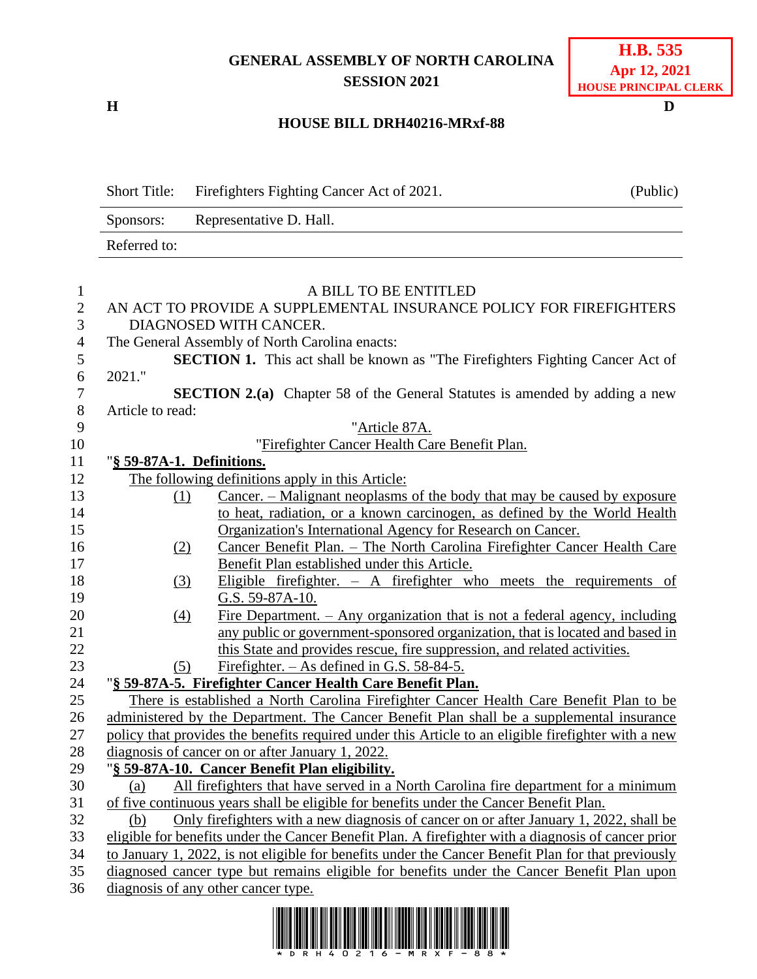## **GENERAL ASSEMBLY OF NORTH CAROLINA SESSION 2021**

**H D**

## **HOUSE BILL DRH40216-MRxf-88**

|                   | <b>Short Title:</b>                                                                                 | Firefighters Fighting Cancer Act of 2021.                                                           | (Public) |  |  |  |
|-------------------|-----------------------------------------------------------------------------------------------------|-----------------------------------------------------------------------------------------------------|----------|--|--|--|
|                   | Sponsors:                                                                                           | Representative D. Hall.                                                                             |          |  |  |  |
|                   | Referred to:                                                                                        |                                                                                                     |          |  |  |  |
|                   |                                                                                                     |                                                                                                     |          |  |  |  |
| $\mathbf{1}$      |                                                                                                     | A BILL TO BE ENTITLED                                                                               |          |  |  |  |
| $\mathbf{2}$<br>3 |                                                                                                     | AN ACT TO PROVIDE A SUPPLEMENTAL INSURANCE POLICY FOR FIREFIGHTERS<br>DIAGNOSED WITH CANCER.        |          |  |  |  |
| $\overline{4}$    |                                                                                                     | The General Assembly of North Carolina enacts:                                                      |          |  |  |  |
| 5                 |                                                                                                     | <b>SECTION 1.</b> This act shall be known as "The Firefighters Fighting Cancer Act of               |          |  |  |  |
| 6                 | 2021."                                                                                              |                                                                                                     |          |  |  |  |
| $\boldsymbol{7}$  |                                                                                                     | <b>SECTION 2.(a)</b> Chapter 58 of the General Statutes is amended by adding a new                  |          |  |  |  |
| $8\,$             | Article to read:                                                                                    |                                                                                                     |          |  |  |  |
| 9                 |                                                                                                     | "Article 87A.                                                                                       |          |  |  |  |
| 10                |                                                                                                     | "Firefighter Cancer Health Care Benefit Plan.                                                       |          |  |  |  |
| 11                |                                                                                                     | "§ 59-87A-1. Definitions.                                                                           |          |  |  |  |
| 12                |                                                                                                     | The following definitions apply in this Article:                                                    |          |  |  |  |
| 13                | (1)                                                                                                 | <u>Cancer. – Malignant neoplasms of the body that may be caused by exposure</u>                     |          |  |  |  |
| 14                |                                                                                                     | to heat, radiation, or a known carcinogen, as defined by the World Health                           |          |  |  |  |
| 15                |                                                                                                     | Organization's International Agency for Research on Cancer.                                         |          |  |  |  |
| 16                | (2)                                                                                                 | Cancer Benefit Plan. - The North Carolina Firefighter Cancer Health Care                            |          |  |  |  |
| 17                |                                                                                                     | Benefit Plan established under this Article.                                                        |          |  |  |  |
| 18                | (3)                                                                                                 | Eligible firefighter. $-$ A firefighter who meets the requirements of                               |          |  |  |  |
| 19                |                                                                                                     | G.S. 59-87A-10.                                                                                     |          |  |  |  |
| 20                | (4)                                                                                                 | Fire Department. $-$ Any organization that is not a federal agency, including                       |          |  |  |  |
| 21                |                                                                                                     | any public or government-sponsored organization, that is located and based in                       |          |  |  |  |
| 22                |                                                                                                     | this State and provides rescue, fire suppression, and related activities.                           |          |  |  |  |
| 23                | (5)                                                                                                 | Firefighter. $-$ As defined in G.S. 58-84-5.                                                        |          |  |  |  |
| 24                |                                                                                                     | "§ 59-87A-5. Firefighter Cancer Health Care Benefit Plan.                                           |          |  |  |  |
| 25                |                                                                                                     | There is established a North Carolina Firefighter Cancer Health Care Benefit Plan to be             |          |  |  |  |
| 26                | administered by the Department. The Cancer Benefit Plan shall be a supplemental insurance           |                                                                                                     |          |  |  |  |
| 27                |                                                                                                     | policy that provides the benefits required under this Article to an eligible firefighter with a new |          |  |  |  |
| 28                |                                                                                                     | diagnosis of cancer on or after January 1, 2022.                                                    |          |  |  |  |
| 29                |                                                                                                     | "§ 59-87A-10. Cancer Benefit Plan eligibility.                                                      |          |  |  |  |
| 30                | (a)                                                                                                 | All firefighters that have served in a North Carolina fire department for a minimum                 |          |  |  |  |
| 31                |                                                                                                     | of five continuous years shall be eligible for benefits under the Cancer Benefit Plan.              |          |  |  |  |
| 32                | (b)                                                                                                 | Only fire fighters with a new diagnosis of cancer on or after January 1, 2022, shall be             |          |  |  |  |
| 33                | eligible for benefits under the Cancer Benefit Plan. A firefighter with a diagnosis of cancer prior |                                                                                                     |          |  |  |  |
| 34                | to January 1, 2022, is not eligible for benefits under the Cancer Benefit Plan for that previously  |                                                                                                     |          |  |  |  |
| 35                | diagnosed cancer type but remains eligible for benefits under the Cancer Benefit Plan upon          |                                                                                                     |          |  |  |  |
| 36                | diagnosis of any other cancer type.                                                                 |                                                                                                     |          |  |  |  |

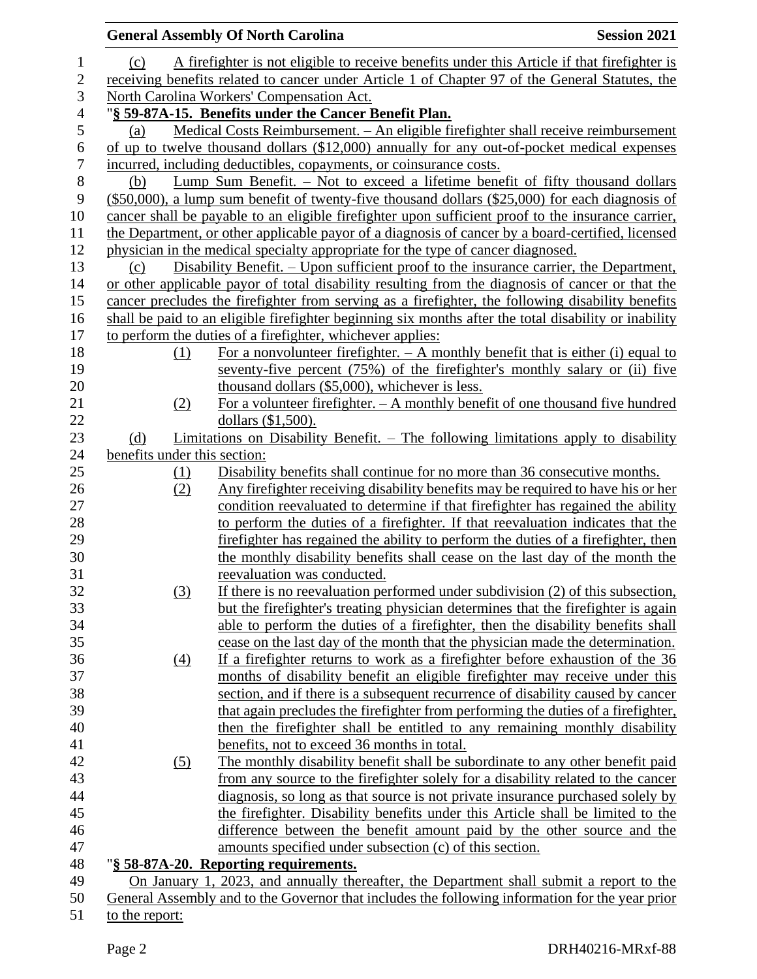|                |                                                                                                 | <b>General Assembly Of North Carolina</b>                                                                                    | <b>Session 2021</b> |  |  |  |  |
|----------------|-------------------------------------------------------------------------------------------------|------------------------------------------------------------------------------------------------------------------------------|---------------------|--|--|--|--|
| 1              | (c)                                                                                             | A firefighter is not eligible to receive benefits under this Article if that firefighter is                                  |                     |  |  |  |  |
| $\overline{c}$ |                                                                                                 | receiving benefits related to cancer under Article 1 of Chapter 97 of the General Statutes, the                              |                     |  |  |  |  |
| 3              | North Carolina Workers' Compensation Act.                                                       |                                                                                                                              |                     |  |  |  |  |
| $\overline{4}$ | "§ 59-87A-15. Benefits under the Cancer Benefit Plan.                                           |                                                                                                                              |                     |  |  |  |  |
| 5              | (a)                                                                                             | Medical Costs Reimbursement. - An eligible firefighter shall receive reimbursement                                           |                     |  |  |  |  |
| 6              |                                                                                                 | of up to twelve thousand dollars (\$12,000) annually for any out-of-pocket medical expenses                                  |                     |  |  |  |  |
| 7              |                                                                                                 | incurred, including deductibles, copayments, or coinsurance costs.                                                           |                     |  |  |  |  |
| $8\,$          | Lump Sum Benefit. – Not to exceed a lifetime benefit of fifty thousand dollars<br>(b)           |                                                                                                                              |                     |  |  |  |  |
| 9              |                                                                                                 | $(\$50,000)$ , a lump sum benefit of twenty-five thousand dollars $(\$25,000)$ for each diagnosis of                         |                     |  |  |  |  |
| 10             |                                                                                                 | cancer shall be payable to an eligible firefighter upon sufficient proof to the insurance carrier,                           |                     |  |  |  |  |
| 11             |                                                                                                 | the Department, or other applicable payor of a diagnosis of cancer by a board-certified, licensed                            |                     |  |  |  |  |
| 12             |                                                                                                 | physician in the medical specialty appropriate for the type of cancer diagnosed.                                             |                     |  |  |  |  |
| 13             | (c)                                                                                             | Disability Benefit. – Upon sufficient proof to the insurance carrier, the Department,                                        |                     |  |  |  |  |
| 14             |                                                                                                 | or other applicable payor of total disability resulting from the diagnosis of cancer or that the                             |                     |  |  |  |  |
| 15             |                                                                                                 | cancer precludes the firefighter from serving as a firefighter, the following disability benefits                            |                     |  |  |  |  |
| 16             |                                                                                                 | shall be paid to an eligible firefighter beginning six months after the total disability or inability                        |                     |  |  |  |  |
| 17             |                                                                                                 | to perform the duties of a firefighter, whichever applies:                                                                   |                     |  |  |  |  |
| 18             | (1)                                                                                             | For a nonvolunteer firefighter. $- A$ monthly benefit that is either (i) equal to                                            |                     |  |  |  |  |
| 19             |                                                                                                 | seventy-five percent (75%) of the firefighter's monthly salary or (ii) five                                                  |                     |  |  |  |  |
| 20             |                                                                                                 | thousand dollars (\$5,000), whichever is less.                                                                               |                     |  |  |  |  |
| 21             | (2)                                                                                             | For a volunteer firefighter. $- A$ monthly benefit of one thousand five hundred                                              |                     |  |  |  |  |
| 22             |                                                                                                 | dollars (\$1,500).                                                                                                           |                     |  |  |  |  |
| 23             | (d)                                                                                             | Limitations on Disability Benefit. $-$ The following limitations apply to disability                                         |                     |  |  |  |  |
| 24             | benefits under this section:                                                                    |                                                                                                                              |                     |  |  |  |  |
| 25             | (1)                                                                                             | Disability benefits shall continue for no more than 36 consecutive months.                                                   |                     |  |  |  |  |
| 26             | (2)                                                                                             | Any firefighter receiving disability benefits may be required to have his or her                                             |                     |  |  |  |  |
| 27             |                                                                                                 | condition reevaluated to determine if that firefighter has regained the ability                                              |                     |  |  |  |  |
| 28             |                                                                                                 | to perform the duties of a firefighter. If that reevaluation indicates that the                                              |                     |  |  |  |  |
| 29             |                                                                                                 | fire fighter has regained the ability to perform the duties of a fire fighter, then                                          |                     |  |  |  |  |
| 30             |                                                                                                 | the monthly disability benefits shall cease on the last day of the month the                                                 |                     |  |  |  |  |
| 31             |                                                                                                 | reevaluation was conducted.                                                                                                  |                     |  |  |  |  |
| 32             | (3)                                                                                             | If there is no reevaluation performed under subdivision (2) of this subsection,                                              |                     |  |  |  |  |
| 33             |                                                                                                 | but the firefighter's treating physician determines that the firefighter is again                                            |                     |  |  |  |  |
| 34             |                                                                                                 | able to perform the duties of a firefighter, then the disability benefits shall                                              |                     |  |  |  |  |
| 35             |                                                                                                 | cease on the last day of the month that the physician made the determination.                                                |                     |  |  |  |  |
| 36             | $\underline{(4)}$                                                                               | If a firefighter returns to work as a firefighter before exhaustion of the 36                                                |                     |  |  |  |  |
| 37             |                                                                                                 | months of disability benefit an eligible firefighter may receive under this                                                  |                     |  |  |  |  |
| 38<br>39       |                                                                                                 | section, and if there is a subsequent recurrence of disability caused by cancer                                              |                     |  |  |  |  |
| 40             |                                                                                                 | that again precludes the firefighter from performing the duties of a firefighter,                                            |                     |  |  |  |  |
| 41             |                                                                                                 | then the firefighter shall be entitled to any remaining monthly disability                                                   |                     |  |  |  |  |
| 42             |                                                                                                 | benefits, not to exceed 36 months in total.<br>The monthly disability benefit shall be subordinate to any other benefit paid |                     |  |  |  |  |
| 43             | (5)                                                                                             | from any source to the firefighter solely for a disability related to the cancer                                             |                     |  |  |  |  |
| 44             |                                                                                                 | diagnosis, so long as that source is not private insurance purchased solely by                                               |                     |  |  |  |  |
| 45             |                                                                                                 | the firefighter. Disability benefits under this Article shall be limited to the                                              |                     |  |  |  |  |
| 46             |                                                                                                 | difference between the benefit amount paid by the other source and the                                                       |                     |  |  |  |  |
| 47             |                                                                                                 | amounts specified under subsection (c) of this section.                                                                      |                     |  |  |  |  |
| 48             |                                                                                                 | "§ 58-87A-20. Reporting requirements.                                                                                        |                     |  |  |  |  |
| 49             |                                                                                                 | On January 1, 2023, and annually thereafter, the Department shall submit a report to the                                     |                     |  |  |  |  |
| 50             | General Assembly and to the Governor that includes the following information for the year prior |                                                                                                                              |                     |  |  |  |  |
| 51             | to the report:                                                                                  |                                                                                                                              |                     |  |  |  |  |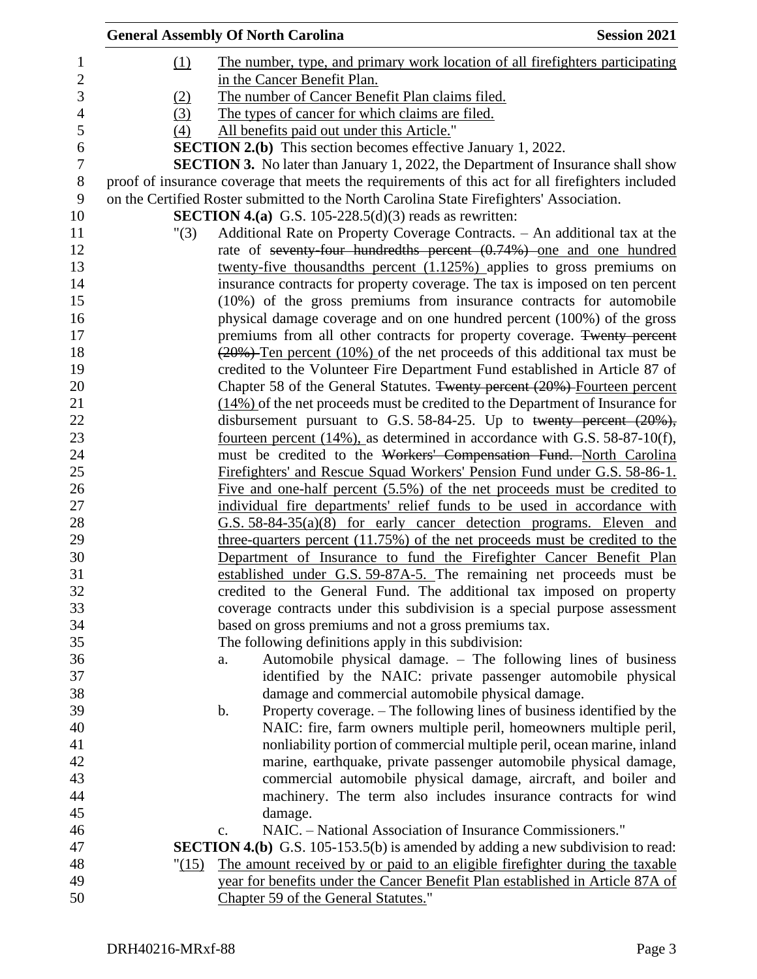|            | <b>General Assembly Of North Carolina</b>                                                                                                                                                     | <b>Session 2021</b> |
|------------|-----------------------------------------------------------------------------------------------------------------------------------------------------------------------------------------------|---------------------|
| (1)        | The number, type, and primary work location of all fire fighters participating                                                                                                                |                     |
|            | in the Cancer Benefit Plan.                                                                                                                                                                   |                     |
|            | The number of Cancer Benefit Plan claims filed.                                                                                                                                               |                     |
| (2)<br>(3) | The types of cancer for which claims are filed.                                                                                                                                               |                     |
| (4)        |                                                                                                                                                                                               |                     |
|            | All benefits paid out under this Article."<br><b>SECTION 2.(b)</b> This section becomes effective January 1, 2022.                                                                            |                     |
|            |                                                                                                                                                                                               |                     |
|            | <b>SECTION 3.</b> No later than January 1, 2022, the Department of Insurance shall show                                                                                                       |                     |
|            | proof of insurance coverage that meets the requirements of this act for all firefighters included<br>on the Certified Roster submitted to the North Carolina State Firefighters' Association. |                     |
|            | <b>SECTION 4.(a)</b> G.S. 105-228.5(d)(3) reads as rewritten:                                                                                                                                 |                     |
| "(3)       | Additional Rate on Property Coverage Contracts. - An additional tax at the                                                                                                                    |                     |
|            | rate of seventy-four hundredths percent (0.74%) one and one hundred                                                                                                                           |                     |
|            | twenty-five thousandths percent $(1.125%)$ applies to gross premiums on                                                                                                                       |                     |
|            | insurance contracts for property coverage. The tax is imposed on ten percent                                                                                                                  |                     |
|            | (10%) of the gross premiums from insurance contracts for automobile                                                                                                                           |                     |
|            | physical damage coverage and on one hundred percent (100%) of the gross                                                                                                                       |                     |
|            | premiums from all other contracts for property coverage. Twenty percent                                                                                                                       |                     |
|            | $\left(\frac{20\%}{20\%}\right)$ Ten percent (10%) of the net proceeds of this additional tax must be                                                                                         |                     |
|            | credited to the Volunteer Fire Department Fund established in Article 87 of                                                                                                                   |                     |
|            | Chapter 58 of the General Statutes. Twenty percent (20%) Fourteen percent                                                                                                                     |                     |
|            | $(14\%)$ of the net proceeds must be credited to the Department of Insurance for                                                                                                              |                     |
|            | disbursement pursuant to G.S. 58-84-25. Up to twenty percent $(20\%)$ ,                                                                                                                       |                     |
|            | fourteen percent $(14\%)$ , as determined in accordance with G.S. 58-87-10(f),                                                                                                                |                     |
|            | must be credited to the Workers' Compensation Fund. North Carolina                                                                                                                            |                     |
|            | Firefighters' and Rescue Squad Workers' Pension Fund under G.S. 58-86-1.                                                                                                                      |                     |
|            | Five and one-half percent (5.5%) of the net proceeds must be credited to                                                                                                                      |                     |
|            | individual fire departments' relief funds to be used in accordance with                                                                                                                       |                     |
|            | $G.S. 58-84-35(a)(8)$ for early cancer detection programs. Eleven and                                                                                                                         |                     |
|            | three-quarters percent (11.75%) of the net proceeds must be credited to the                                                                                                                   |                     |
|            | Department of Insurance to fund the Firefighter Cancer Benefit Plan                                                                                                                           |                     |
|            | established under G.S. 59-87A-5. The remaining net proceeds must be                                                                                                                           |                     |
|            | credited to the General Fund. The additional tax imposed on property                                                                                                                          |                     |
|            | coverage contracts under this subdivision is a special purpose assessment                                                                                                                     |                     |
|            | based on gross premiums and not a gross premiums tax.                                                                                                                                         |                     |
|            | The following definitions apply in this subdivision:                                                                                                                                          |                     |
|            | Automobile physical damage. – The following lines of business<br>a.                                                                                                                           |                     |
|            | identified by the NAIC: private passenger automobile physical                                                                                                                                 |                     |
|            | damage and commercial automobile physical damage.                                                                                                                                             |                     |
|            | Property coverage. – The following lines of business identified by the<br>b.                                                                                                                  |                     |
|            | NAIC: fire, farm owners multiple peril, homeowners multiple peril,                                                                                                                            |                     |
|            | nonliability portion of commercial multiple peril, ocean marine, inland                                                                                                                       |                     |
|            | marine, earthquake, private passenger automobile physical damage,                                                                                                                             |                     |
|            | commercial automobile physical damage, aircraft, and boiler and                                                                                                                               |                     |
|            | machinery. The term also includes insurance contracts for wind                                                                                                                                |                     |
|            | damage.                                                                                                                                                                                       |                     |
|            | NAIC. - National Association of Insurance Commissioners."<br>c.                                                                                                                               |                     |
|            | <b>SECTION 4.(b)</b> G.S. 105-153.5(b) is amended by adding a new subdivision to read:                                                                                                        |                     |
| "(15)      | The amount received by or paid to an eligible firefighter during the taxable<br>year for benefits under the Cancer Benefit Plan established in Article 87A of                                 |                     |
|            | Chapter 59 of the General Statutes."                                                                                                                                                          |                     |
|            |                                                                                                                                                                                               |                     |